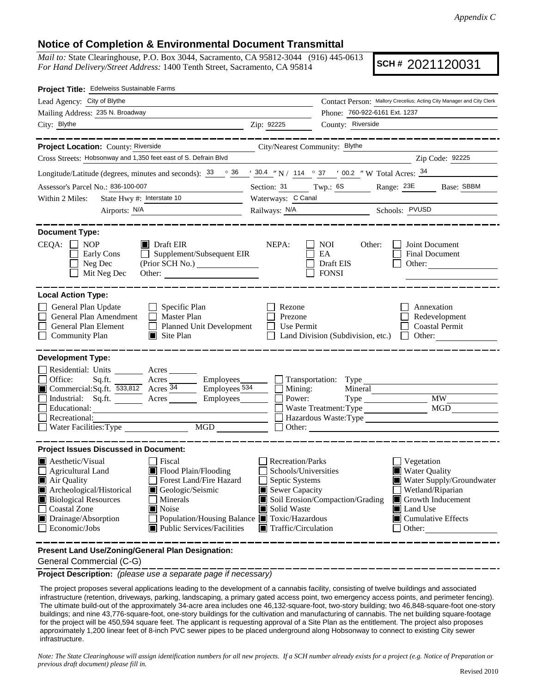## **Notice of Completion & Environmental Document Transmittal**

*Mail to:* State Clearinghouse, P.O. Box 3044, Sacramento, CA 95812-3044 (916) 445-0613 *For Hand Delivery/Street Address:* 1400 Tenth Street, Sacramento, CA 95814

**SCH #** 2021120031

| Project Title: Edelweiss Sustainable Farms                                                                                                                                                                                                                                                                                                                                    |                                                                                                           |                                                                       |                                                                                                                                                          |
|-------------------------------------------------------------------------------------------------------------------------------------------------------------------------------------------------------------------------------------------------------------------------------------------------------------------------------------------------------------------------------|-----------------------------------------------------------------------------------------------------------|-----------------------------------------------------------------------|----------------------------------------------------------------------------------------------------------------------------------------------------------|
| Lead Agency: City of Blythe                                                                                                                                                                                                                                                                                                                                                   |                                                                                                           | Contact Person: Mallory Crecelius; Acting City Manager and City Clerk |                                                                                                                                                          |
| Mailing Address: 235 N. Broadway                                                                                                                                                                                                                                                                                                                                              |                                                                                                           | Phone: 760-922-6161 Ext. 1237                                         |                                                                                                                                                          |
| City: Blythe<br><u> 1989 - Johann Barn, fransk politik (d. 1989)</u>                                                                                                                                                                                                                                                                                                          | Zip: 92225                                                                                                | County: Riverside                                                     |                                                                                                                                                          |
| -------------                                                                                                                                                                                                                                                                                                                                                                 |                                                                                                           |                                                                       | ________________                                                                                                                                         |
| Project Location: County: Riverside                                                                                                                                                                                                                                                                                                                                           | City/Nearest Community: Blythe                                                                            |                                                                       |                                                                                                                                                          |
| Cross Streets: Hobsonway and 1,350 feet east of S. Defrain Blvd                                                                                                                                                                                                                                                                                                               |                                                                                                           |                                                                       | Zip Code: 92225                                                                                                                                          |
| Longitude/Latitude (degrees, minutes and seconds): $\frac{33}{100}$ $\frac{36}{100}$ / $\frac{30.4}{100}$ / $\frac{114}{100}$ $\frac{37}{100}$ / 00.2 "W Total Acres: $\frac{34}{100}$                                                                                                                                                                                        |                                                                                                           |                                                                       |                                                                                                                                                          |
| Assessor's Parcel No.: 836-100-007                                                                                                                                                                                                                                                                                                                                            |                                                                                                           |                                                                       | Section: 31 Twp.: 6S Range: 23E Base: SBBM                                                                                                               |
| State Hwy #: Interstate 10<br>Within 2 Miles:                                                                                                                                                                                                                                                                                                                                 | Waterways: C Canal                                                                                        |                                                                       |                                                                                                                                                          |
| Airports: N/A<br><u> 1980 - Jan James Barbara, politik eta politik eta politik eta politik eta politik eta politik eta politik e</u>                                                                                                                                                                                                                                          |                                                                                                           | Railways: N/A Schools: PVUSD                                          |                                                                                                                                                          |
| <b>Document Type:</b><br>$CEQA: \Box NOP$<br>$\blacksquare$ Draft EIR                                                                                                                                                                                                                                                                                                         | NEPA:                                                                                                     | <b>NOI</b><br>Other:                                                  | Joint Document                                                                                                                                           |
| $\Box$ Supplement/Subsequent EIR<br>Early Cons<br>(Prior SCH No.) ________________<br>Neg Dec<br>Mit Neg Dec                                                                                                                                                                                                                                                                  |                                                                                                           | EA<br>Draft EIS<br><b>FONSI</b>                                       | Final Document<br>Other:                                                                                                                                 |
| <b>Local Action Type:</b><br>General Plan Update<br>$\Box$ Specific Plan<br>General Plan Amendment<br>$\Box$ Master Plan<br>General Plan Element<br>Planned Unit Development<br><b>Community Plan</b><br>$\Box$ Site Plan                                                                                                                                                     | Rezone<br>Prezone<br>Use Permit                                                                           | Land Division (Subdivision, etc.)                                     | Annexation<br>Redevelopment<br><b>Coastal Permit</b><br>$\Box$<br>Other:                                                                                 |
| <b>Development Type:</b><br>Residential: Units ________ Acres _______<br>□ Office: Sq.ft. 533,812 Acres Employees Employees Commercial:Sq.ft. 533,812 Acres 34 Employees 534<br>$\bar{a}$<br>Industrial: Sq.ft. Acres Employees<br>Educational:<br>Recreational:<br>MGD                                                                                                       | Mining:<br>Power:                                                                                         | Transportation: Type<br>Mineral<br>Waste Treatment: Type<br>Other:    | $\overline{\text{MW}}$<br>MGD                                                                                                                            |
| <b>Project Issues Discussed in Document:</b><br>$\blacksquare$ Aesthetic/Visual<br>Fiscal<br>Flood Plain/Flooding<br>Agricultural Land<br>■ Air Quality<br>Forest Land/Fire Hazard<br>Archeological/Historical<br>Geologic/Seismic<br><b>Biological Resources</b><br>Minerals<br>Coastal Zone<br>Noise<br>Drainage/Absorption<br>Population/Housing Balance ■ Toxic/Hazardous | <b>Recreation/Parks</b><br>Schools/Universities<br>$\Box$ Septic Systems<br>Sewer Capacity<br>Solid Waste | Soil Erosion/Compaction/Grading                                       | Vegetation<br><b>Water Quality</b><br>Water Supply/Groundwater<br>Wetland/Riparian<br>Growth Inducement<br>Land Use<br>$\blacksquare$ Cumulative Effects |
| $\Box$ Economic/Jobs<br>■ Public Services/Facilities<br>Present Land Use/Zoning/General Plan Designation:                                                                                                                                                                                                                                                                     | $\blacksquare$ Traffic/Circulation                                                                        |                                                                       | $\Box$ Other:                                                                                                                                            |

General Commercial (C-G)

**Project Description:** *(please use a separate page if necessary)*

 The project proposes several applications leading to the development of a cannabis facility, consisting of twelve buildings and associated infrastructure (retention, driveways, parking, landscaping, a primary gated access point, two emergency access points, and perimeter fencing). The ultimate build-out of the approximately 34-acre area includes one 46,132-square-foot, two-story building; two 46,848-square-foot one-story buildings; and nine 43,776-square-foot, one-story buildings for the cultivation and manufacturing of cannabis. The net building square-footage for the project will be 450,594 square feet. The applicant is requesting approval of a Site Plan as the entitlement. The project also proposes approximately 1,200 linear feet of 8-inch PVC sewer pipes to be placed underground along Hobsonway to connect to existing City sewer infrastructure.

*Note: The State Clearinghouse will assign identification numbers for all new projects. If a SCH number already exists for a project (e.g. Notice of Preparation or previous draft document) please fill in.*